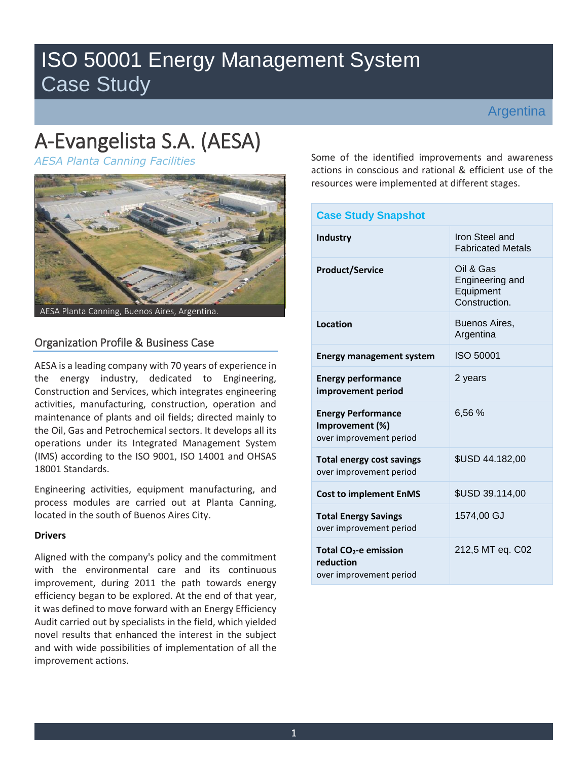## ISO 50001 Energy Management System Case Study

# A-Evangelista S.A. (AESA)

*AESA Planta Canning Facilities* 



## Organization Profile & Business Case

AESA is a leading company with 70 years of experience in the energy industry, dedicated to Engineering, Construction and Services, which integrates engineering activities, manufacturing, construction, operation and maintenance of plants and oil fields; directed mainly to the Oil, Gas and Petrochemical sectors. It develops all its operations under its Integrated Management System (IMS) according to the ISO 9001, ISO 14001 and OHSAS 18001 Standards.

Engineering activities, equipment manufacturing, and process modules are carried out at Planta Canning, located in the south of Buenos Aires City.

#### **Drivers**

Aligned with the company's policy and the commitment with the environmental care and its continuous improvement, during 2011 the path towards energy efficiency began to be explored. At the end of that year, it was defined to move forward with an Energy Efficiency Audit carried out by specialists in the field, which yielded novel results that enhanced the interest in the subject and with wide possibilities of implementation of all the improvement actions.

Some of the identified improvements and awareness actions in conscious and rational & efficient use of the resources were implemented at different stages.

| <b>Case Study Snapshot</b>                                                |                                                            |  |  |
|---------------------------------------------------------------------------|------------------------------------------------------------|--|--|
| <b>Industry</b>                                                           | Iron Steel and<br><b>Fabricated Metals</b>                 |  |  |
| <b>Product/Service</b>                                                    | Oil & Gas<br>Engineering and<br>Equipment<br>Construction. |  |  |
| Location                                                                  | Buenos Aires,<br>Argentina                                 |  |  |
| <b>Energy management system</b>                                           | ISO 50001                                                  |  |  |
| <b>Energy performance</b><br>improvement period                           | 2 years                                                    |  |  |
| <b>Energy Performance</b><br>Improvement (%)<br>over improvement period   | 6.56%                                                      |  |  |
| <b>Total energy cost savings</b><br>over improvement period               | \$USD 44.182,00                                            |  |  |
| <b>Cost to implement EnMS</b>                                             | \$USD 39.114,00                                            |  |  |
| <b>Total Energy Savings</b><br>over improvement period                    | 1574,00 GJ                                                 |  |  |
| Total CO <sub>2</sub> -e emission<br>reduction<br>over improvement period | 212,5 MT eq. C02                                           |  |  |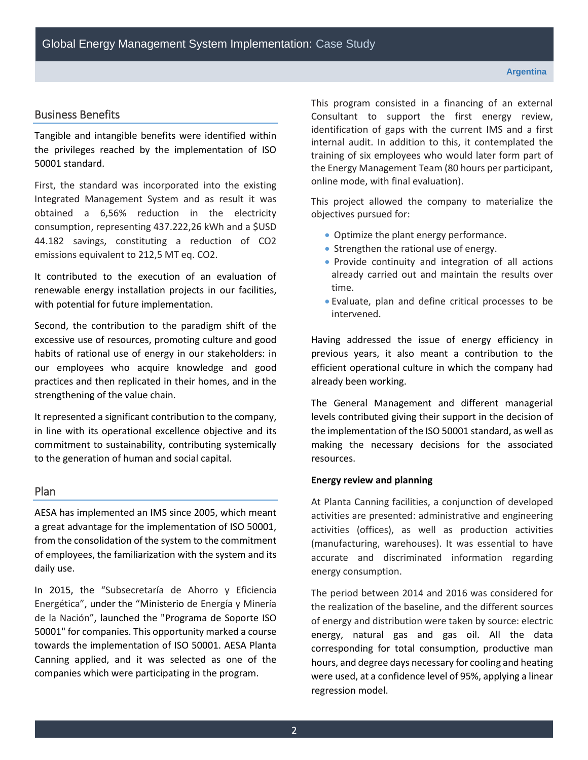### Business Benefits

Tangible and intangible benefits were identified within the privileges reached by the implementation of ISO 50001 standard.

First, the standard was incorporated into the existing Integrated Management System and as result it was obtained a 6,56% reduction in the electricity consumption, representing 437.222,26 kWh and a \$USD 44.182 savings, constituting a reduction of CO2 emissions equivalent to 212,5 MT eq. CO2.

It contributed to the execution of an evaluation of renewable energy installation projects in our facilities, with potential for future implementation.

Second, the contribution to the paradigm shift of the excessive use of resources, promoting culture and good habits of rational use of energy in our stakeholders: in our employees who acquire knowledge and good practices and then replicated in their homes, and in the strengthening of the value chain.

It represented a significant contribution to the company, in line with its operational excellence objective and its commitment to sustainability, contributing systemically to the generation of human and social capital.

#### Plan

AESA has implemented an IMS since 2005, which meant a great advantage for the implementation of ISO 50001, from the consolidation of the system to the commitment of employees, the familiarization with the system and its daily use.

In 2015, the "Subsecretaría de Ahorro y Eficiencia Energética", under the "Ministerio de Energía y Minería de la Nación", launched the "Programa de Soporte ISO 50001" for companies. This opportunity marked a course towards the implementation of ISO 50001. AESA Planta Canning applied, and it was selected as one of the companies which were participating in the program.

This program consisted in a financing of an external Consultant to support the first energy review, identification of gaps with the current IMS and a first internal audit. In addition to this, it contemplated the training of six employees who would later form part of the Energy Management Team (80 hours per participant, online mode, with final evaluation).

This project allowed the company to materialize the objectives pursued for:

- Optimize the plant energy performance.
- Strengthen the rational use of energy.
- Provide continuity and integration of all actions already carried out and maintain the results over time.
- Evaluate, plan and define critical processes to be intervened.

Having addressed the issue of energy efficiency in previous years, it also meant a contribution to the efficient operational culture in which the company had already been working.

The General Management and different managerial levels contributed giving their support in the decision of the implementation of the ISO 50001 standard, as well as making the necessary decisions for the associated resources.

#### **Energy review and planning**

At Planta Canning facilities, a conjunction of developed activities are presented: administrative and engineering activities (offices), as well as production activities (manufacturing, warehouses). It was essential to have accurate and discriminated information regarding energy consumption.

The period between 2014 and 2016 was considered for the realization of the baseline, and the different sources of energy and distribution were taken by source: electric energy, natural gas and gas oil. All the data corresponding for total consumption, productive man hours, and degree days necessary for cooling and heating were used, at a confidence level of 95%, applying a linear regression model.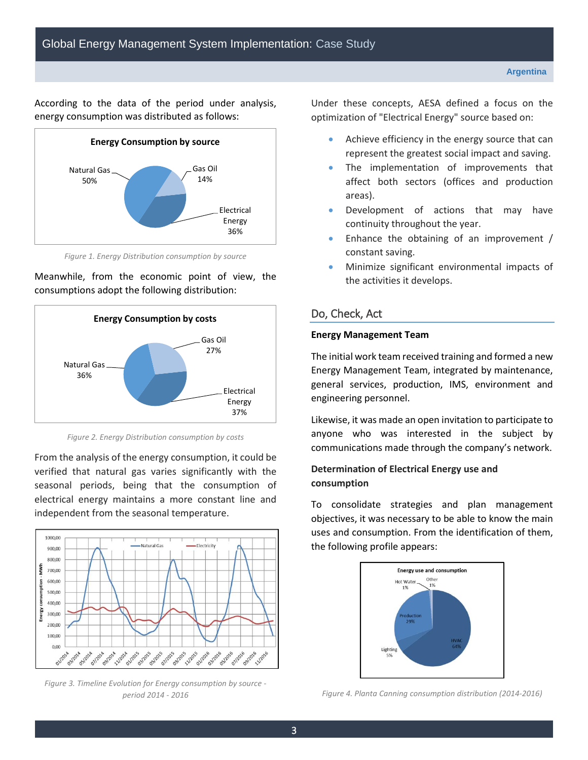According to the data of the period under analysis, energy consumption was distributed as follows:



*Figure 1. Energy Distribution consumption by source* 

Meanwhile, from the economic point of view, the consumptions adopt the following distribution:



*Figure 2. Energy Distribution consumption by costs* 

From the analysis of the energy consumption, it could be verified that natural gas varies significantly with the seasonal periods, being that the consumption of electrical energy maintains a more constant line and independent from the seasonal temperature.



*Figure 3. Timeline Evolution for Energy consumption by source period 2014 - 2016*

Under these concepts, AESA defined a focus on the optimization of "Electrical Energy" source based on:

- Achieve efficiency in the energy source that can represent the greatest social impact and saving.
- The implementation of improvements that affect both sectors (offices and production areas).
- Development of actions that may have continuity throughout the year.
- Enhance the obtaining of an improvement / constant saving.
- Minimize significant environmental impacts of the activities it develops.

## Do, Check, Act

#### **Energy Management Team**

The initial work team received training and formed a new Energy Management Team, integrated by maintenance, general services, production, IMS, environment and engineering personnel.

Likewise, it was made an open invitation to participate to anyone who was interested in the subject by communications made through the company's network.

## **Determination of Electrical Energy use and consumption**

To consolidate strategies and plan management objectives, it was necessary to be able to know the main uses and consumption. From the identification of them, the following profile appears:



*Figure 4. Planta Canning consumption distribution (2014-2016)*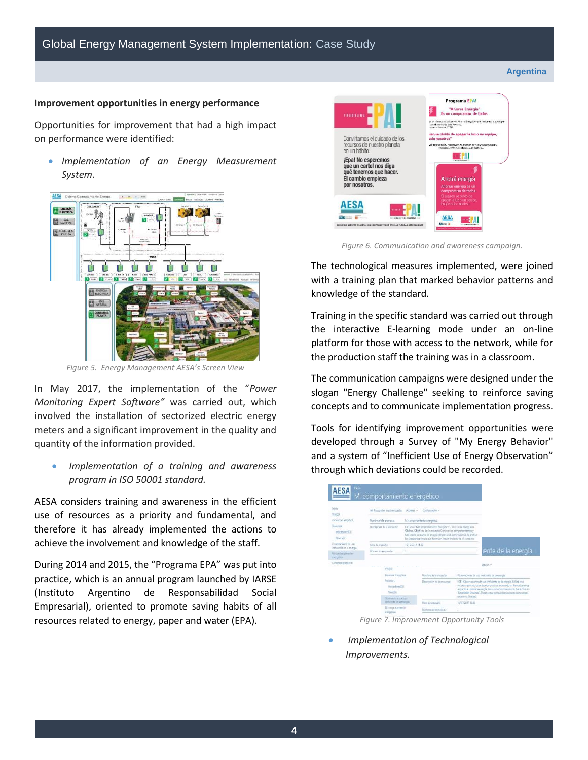#### **Argentina**

#### **Improvement opportunities in energy performance**

Opportunities for improvement that had a high impact on performance were identified:

 *Implementation of an Energy Measurement System.* 



*Figure 5. Energy Management AESA's Screen View* 

In May 2017, the implementation of the "*Power Monitoring Expert Software"* was carried out, which involved the installation of sectorized electric energy meters and a significant improvement in the quality and quantity of the information provided.

 *Implementation of a training and awareness program in ISO 50001 standard.* 

AESA considers training and awareness in the efficient use of resources as a priority and fundamental, and therefore it has already implemented the actions to achieve the involvement and knowledge of the staff.

During 2014 and 2015, the "Programa EPA" was put into practice, which is an annual program launched by IARSE (Instituto Argentino de Responsabilidad Social Empresarial), oriented to promote saving habits of all resources related to energy, paper and water (EPA).



*Figure 6. Communication and awareness campaign.* 

The technological measures implemented, were joined with a training plan that marked behavior patterns and knowledge of the standard.

Training in the specific standard was carried out through the interactive E-learning mode under an on-line platform for those with access to the network, while for the production staff the training was in a classroom.

The communication campaigns were designed under the slogan "Energy Challenge" seeking to reinforce saving concepts and to communicate implementation progress.

Tools for identifying improvement opportunities were developed through a Survey of "My Energy Behavior" and a system of "Inefficient Use of Energy Observation" through which deviations could be recorded.

| biggs.<br>WASS                                     | ail Response a esta encuesta Acouves - Configuración - |  |                                                                                                                                                                                                                                                                                                                                                |                  |                                                                                                                                                                                                                                                                                   |
|----------------------------------------------------|--------------------------------------------------------|--|------------------------------------------------------------------------------------------------------------------------------------------------------------------------------------------------------------------------------------------------------------------------------------------------------------------------------------------------|------------------|-----------------------------------------------------------------------------------------------------------------------------------------------------------------------------------------------------------------------------------------------------------------------------------|
| Thierrin Essignitics                               | Nombre de la grevente.                                 |  | Mi conquisteriento energético.<br>Facurity, Willimportunismts. Envisytics - Dio De la Energia en<br>Oberan. Objetives de la ge superta Composition en experimentes y<br>fatishes the consumer the entirefat dal pressured administratives. Markillium<br>Top comportancies to pur finness on injury reparts your consums.<br>15/12/03/37 11:29 |                  |                                                                                                                                                                                                                                                                                   |
| <b>Testevies</b><br><b>Internetworth</b><br>News33 | Directednt for la stressitzar                          |  |                                                                                                                                                                                                                                                                                                                                                |                  |                                                                                                                                                                                                                                                                                   |
| Chermone i de seu<br>melcomistic la anarchi        | First the matches                                      |  |                                                                                                                                                                                                                                                                                                                                                |                  |                                                                                                                                                                                                                                                                                   |
| <b>Michelphrando</b><br>medicine.                  | Novatt Entrepandar.                                    |  |                                                                                                                                                                                                                                                                                                                                                |                  | iente de la energía                                                                                                                                                                                                                                                               |
| Contemibi del citer                                |                                                        |  |                                                                                                                                                                                                                                                                                                                                                |                  | <b>HORK &amp;</b>                                                                                                                                                                                                                                                                 |
|                                                    | Webster                                                |  |                                                                                                                                                                                                                                                                                                                                                |                  |                                                                                                                                                                                                                                                                                   |
|                                                    |                                                        |  |                                                                                                                                                                                                                                                                                                                                                |                  |                                                                                                                                                                                                                                                                                   |
|                                                    | <b>Domos Inmarica</b>                                  |  | <b>Turner de la stouezie</b>                                                                                                                                                                                                                                                                                                                   |                  | Disensationer de usa melicisate de la energía                                                                                                                                                                                                                                     |
|                                                    | <b>Boordel</b><br>Haliadorecki<br><b>Telesco</b> ld    |  | Descripción de la aveurela?                                                                                                                                                                                                                                                                                                                    |                  | Sill - Observaciones de una indiciente de la energio. Utiliza esta<br>entants per restrer device our his recenside in Parts Centing<br>regards allow or teamingly. Per more to characters, he algorithms<br>"Responder Departial". Podes constitutions after residence come come- |
|                                                    | <b>Clinton interviewed</b>                             |  |                                                                                                                                                                                                                                                                                                                                                | nissania Garad   |                                                                                                                                                                                                                                                                                   |
|                                                    | institute in the la energie.<br>Mi comportamento       |  | Harw de conscioni<br><b>SCIENCE &amp; SCIENCE</b>                                                                                                                                                                                                                                                                                              | 16/11/2017 15:01 |                                                                                                                                                                                                                                                                                   |

*Figure 7. Improvement Opportunity Tools*

 *Implementation of Technological Improvements.*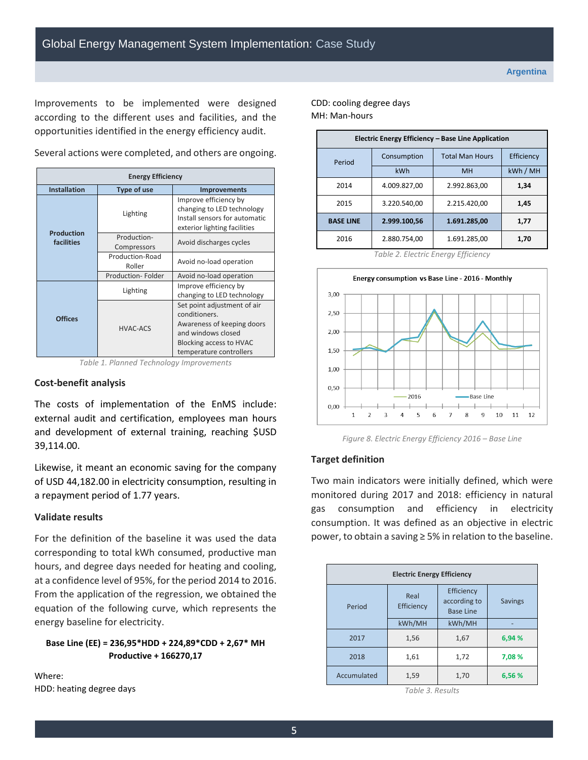Improvements to be implemented were designed according to the different uses and facilities, and the opportunities identified in the energy efficiency audit.

| <b>Energy Efficiency</b>        |                                    |                                                                                                                                                        |  |
|---------------------------------|------------------------------------|--------------------------------------------------------------------------------------------------------------------------------------------------------|--|
| <b>Installation</b>             | Type of use<br><b>Improvements</b> |                                                                                                                                                        |  |
| <b>Production</b><br>facilities | Lighting                           | Improve efficiency by<br>changing to LED technology<br>Install sensors for automatic<br>exterior lighting facilities                                   |  |
|                                 | Production-<br>Compressors         | Avoid discharges cycles                                                                                                                                |  |
|                                 | Production-Road<br>Roller          | Avoid no-load operation                                                                                                                                |  |
|                                 | Production-Folder                  | Avoid no-load operation                                                                                                                                |  |
| <b>Offices</b>                  | Lighting                           | Improve efficiency by<br>changing to LED technology                                                                                                    |  |
|                                 | HVAC-ACS                           | Set point adjustment of air<br>conditioners.<br>Awareness of keeping doors<br>and windows closed<br>Blocking access to HVAC<br>temperature controllers |  |

Several actions were completed, and others are ongoing.

*Table 1. Planned Technology Improvements*

## **Cost-benefit analysis**

The costs of implementation of the EnMS include: external audit and certification, employees man hours and development of external training, reaching \$USD 39,114.00.

Likewise, it meant an economic saving for the company of USD 44,182.00 in electricity consumption, resulting in a repayment period of 1.77 years.

## **Validate results**

For the definition of the baseline it was used the data corresponding to total kWh consumed, productive man hours, and degree days needed for heating and cooling, at a confidence level of 95%, for the period 2014 to 2016. From the application of the regression, we obtained the equation of the following curve, which represents the energy baseline for electricity.

## **Base Line (EE) = 236,95\*HDD + 224,89\*CDD + 2,67\* MH Productive + 166270,17**

Where: HDD: heating degree days CDD: cooling degree days MH: Man-hours

| Electric Energy Efficiency - Base Line Application |              |                        |            |
|----------------------------------------------------|--------------|------------------------|------------|
| Period                                             | Consumption  | <b>Total Man Hours</b> | Efficiency |
|                                                    | kWh          | <b>MH</b>              | kWh / MH   |
| 2014                                               | 4.009.827.00 | 2.992.863.00           | 1,34       |
| 2015                                               | 3.220.540,00 | 2.215.420.00           | 1,45       |
| <b>BASE LINE</b>                                   | 2.999.100.56 | 1.691.285.00           | 1,77       |
| 2016                                               | 2.880.754.00 | 1.691.285.00           | 1,70       |
| Tahle 7 Electric Energy Efficiency                 |              |                        |            |

*Table 2. Electric Energy Efficiency* 



*Figure 8. Electric Energy Efficiency 2016 – Base Line*

## **Target definition**

Two main indicators were initially defined, which were monitored during 2017 and 2018: efficiency in natural gas consumption and efficiency in electricity consumption. It was defined as an objective in electric power, to obtain a saving ≥ 5% in relation to the baseline.

| <b>Electric Energy Efficiency</b> |                    |                                                |                |  |
|-----------------------------------|--------------------|------------------------------------------------|----------------|--|
| Period                            | Real<br>Efficiency | Efficiency<br>according to<br><b>Base Line</b> | <b>Savings</b> |  |
|                                   | kWh/MH             | kWh/MH                                         |                |  |
| 2017                              | 1,56               | 1,67                                           | 6,94 %         |  |
| 2018                              | 1,61               | 1,72                                           | 7,08%          |  |
| Accumulated                       | 1,59               | 1,70                                           | 6,56%          |  |

*Table 3. Results*